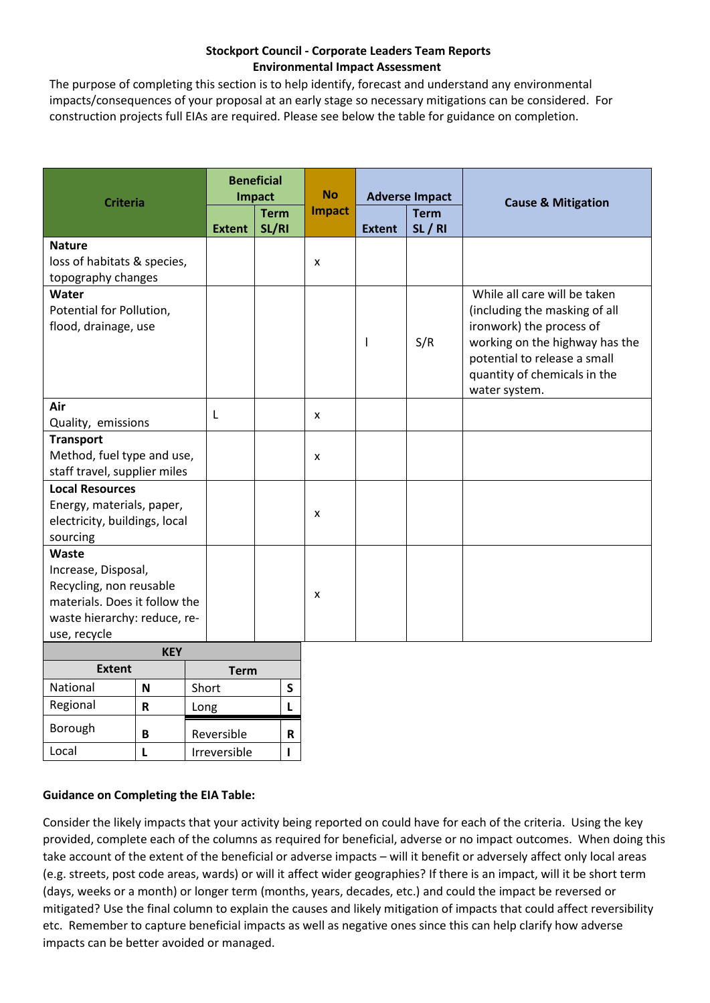## **Stockport Council - Corporate Leaders Team Reports Environmental Impact Assessment**

The purpose of completing this section is to help identify, forecast and understand any environmental impacts/consequences of your proposal at an early stage so necessary mitigations can be considered. For construction projects full EIAs are required. Please see below the table for guidance on completion.

| <b>Criteria</b>               |             |             | <b>Beneficial</b><br><b>Impact</b> |               |   | <b>No</b> | <b>Adverse Impact</b> |                               |                                |
|-------------------------------|-------------|-------------|------------------------------------|---------------|---|-----------|-----------------------|-------------------------------|--------------------------------|
|                               |             | <b>Term</b> |                                    | <b>Impact</b> |   |           | <b>Term</b>           | <b>Cause &amp; Mitigation</b> |                                |
|                               |             |             | <b>Extent</b>                      | SL/RI         |   |           | <b>Extent</b>         | SL/RI                         |                                |
| <b>Nature</b>                 |             |             |                                    |               |   |           |                       |                               |                                |
| loss of habitats & species,   |             |             |                                    |               |   | X         |                       |                               |                                |
| topography changes            |             |             |                                    |               |   |           |                       |                               |                                |
| Water                         |             |             |                                    |               |   |           |                       |                               | While all care will be taken   |
| Potential for Pollution,      |             |             |                                    |               |   |           |                       | (including the masking of all |                                |
| flood, drainage, use          |             |             |                                    |               |   |           |                       |                               | ironwork) the process of       |
|                               |             |             |                                    |               |   |           | $\mathbf{I}$          | S/R                           | working on the highway has the |
|                               |             |             |                                    |               |   |           |                       |                               | potential to release a small   |
|                               |             |             |                                    |               |   |           |                       |                               | quantity of chemicals in the   |
|                               |             |             |                                    |               |   |           |                       |                               | water system.                  |
| Air                           |             |             | L                                  |               |   | X         |                       |                               |                                |
| Quality, emissions            |             |             |                                    |               |   |           |                       |                               |                                |
| <b>Transport</b>              |             |             |                                    |               |   |           |                       |                               |                                |
| Method, fuel type and use,    |             |             |                                    |               |   | X         |                       |                               |                                |
| staff travel, supplier miles  |             |             |                                    |               |   |           |                       |                               |                                |
| <b>Local Resources</b>        |             |             |                                    |               |   |           |                       |                               |                                |
| Energy, materials, paper,     |             |             |                                    |               |   |           |                       |                               |                                |
| electricity, buildings, local |             |             |                                    |               |   | X         |                       |                               |                                |
| sourcing                      |             |             |                                    |               |   |           |                       |                               |                                |
| Waste                         |             |             |                                    |               |   |           |                       |                               |                                |
| Increase, Disposal,           |             |             |                                    |               |   |           |                       |                               |                                |
| Recycling, non reusable       |             |             |                                    |               |   | X         |                       |                               |                                |
| materials. Does it follow the |             |             |                                    |               |   |           |                       |                               |                                |
| waste hierarchy: reduce, re-  |             |             |                                    |               |   |           |                       |                               |                                |
| use, recycle                  |             |             |                                    |               |   |           |                       |                               |                                |
| <b>KEY</b>                    |             |             |                                    |               |   |           |                       |                               |                                |
| <b>Extent</b>                 |             |             | <b>Term</b>                        |               |   |           |                       |                               |                                |
| National                      | $\mathbf N$ |             | $\mathsf S$<br>Short               |               |   |           |                       |                               |                                |
| Regional                      | $\mathbf R$ |             | Long                               |               | L |           |                       |                               |                                |

## **Guidance on Completing the EIA Table:**

Borough **<sup>B</sup>** Reversible **<sup>R</sup>** Local **L** Irreversible **I** 

Consider the likely impacts that your activity being reported on could have for each of the criteria. Using the key provided, complete each of the columns as required for beneficial, adverse or no impact outcomes. When doing this take account of the extent of the beneficial or adverse impacts – will it benefit or adversely affect only local areas (e.g. streets, post code areas, wards) or will it affect wider geographies? If there is an impact, will it be short term (days, weeks or a month) or longer term (months, years, decades, etc.) and could the impact be reversed or mitigated? Use the final column to explain the causes and likely mitigation of impacts that could affect reversibility etc. Remember to capture beneficial impacts as well as negative ones since this can help clarify how adverse impacts can be better avoided or managed.